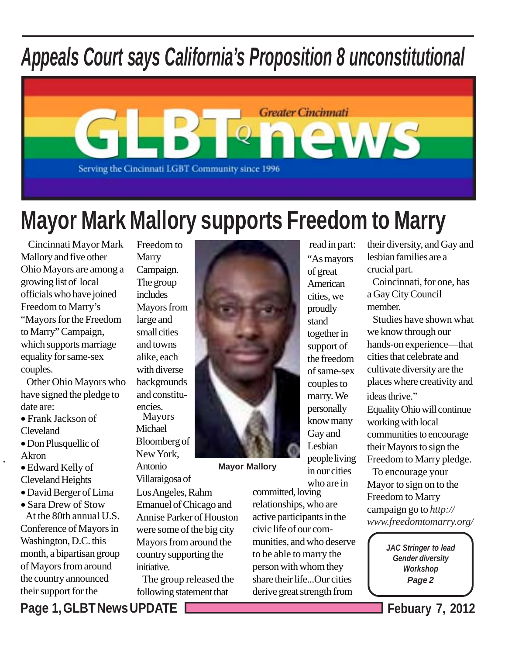# *Appeals Court says California's Proposition 8 unconstitutional*



## **Mayor Mark Mallory supports Freedom to Marry**

 Cincinnati Mayor Mark Mallory and five other Ohio Mayors are among a growing list of local officials who have joined Freedom to Marry's "Mayors for the Freedom to Marry" Campaign, which supports marriage equality for same-sex couples.

 Other Ohio Mayors who have signed the pledge to date are:

- Frank Jackson of Cleveland
- Don Plusquellic of Akron

 $\overline{\phantom{a}}$ 

- Edward Kelly of Cleveland Heights
- David Berger of Lima
- Sara Drew of Stow At the 80th annual U.S. Conference of Mayors in Washington, D.C. this month, a bipartisan group of Mayors from around the country announced their support for the

Freedom to **Marry** Campaign. The group includes Mayors from large and small cities and towns alike, each with diverse backgrounds and constituencies. Mayors

Michael Bloomberg of New York,

Antonio Villaraigosa of

Los Angeles, Rahm Emanuel of Chicago and Annise Parker of Houston were some of the big city Mayors from around the country supporting the initiative.

 The group released the following statement that

**Mayor Mallory** committed, loving relationships, who are active participants in the

civic life of our communities, and who deserve to be able to marry the person with whom they share their life...Our cities derive great strength from

read in part: "As mayors of great American cities, we proudly stand together in support of the freedom of same-sex couples to marry. We personally know many Gay and Lesbian people living in our cities who are in

their diversity, and Gay and lesbian families are a crucial part.

 Coincinnati, for one, has a Gay City Council member.

 Studies have shown what we know through our hands-on experience—that cities that celebrate and cultivate diversity are the places where creativity and ideas thrive." Equality Ohio will continue working with local

communities to encourage their Mayors to sign the Freedom to Marry pledge.

 To encourage your Mayor to sign on to the Freedom to Marry campaign go to *http:// www.freedomtomarry.org/*

> *JAC Stringer to lead Gender diversity Workshop Page 2*

**Page 1, GLBT News UPDATE Febuary 7, 2012**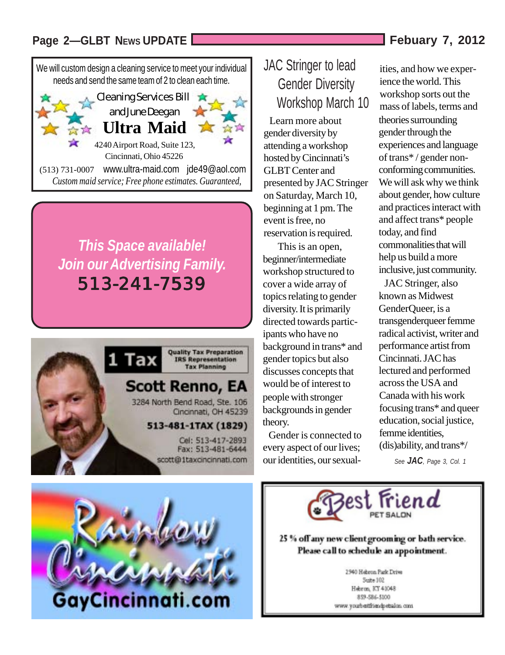#### Page 2-GLBT NEWS UPDATE **Febuary 7, 2012**

We will custom design a cleaning service to meet your individual needs and send the same team of 2 to clean each time.



## *This Space available! Join our Advertising Family.* 513-241-7539



# GayCincinnati.com

### JAC Stringer to lead Gender Diversity Workshop March 10

 Learn more about gender diversity by attending a workshop hosted by Cincinnati's GLBT Center and presented by JAC Stringer on Saturday, March 10, beginning at 1 pm. The event is free, no reservation is required.

 This is an open, beginner/intermediate workshop structured to cover a wide array of topics relating to gender diversity. It is primarily directed towards participants who have no background in trans\* and gender topics but also discusses concepts that would be of interest to people with stronger backgrounds in gender theory.

 Gender is connected to every aspect of our lives; our identities, our sexualities, and how we experience the world. This workshop sorts out the mass of labels, terms and theories surrounding gender through the experiences and language of trans\* / gender nonconforming communities. We will ask why we think about gender, how culture and practices interact with and affect trans\* people today, and find commonalities that will help us build a more inclusive, just community.

across the USA and Canada with his work focusing trans\* and queer education, social justice, femme identities, (dis)ability, and trans\*/ JAC Stringer, also known as Midwest GenderQueer, is a transgenderqueer femme radical activist, writer and performance artist from Cincinnati. JAC has lectured and performed

*See JAC, Page 3, Col. 1*



25 % off any new client grooming or bath service. Please call to schedule an appointment.

> 2940 Hebron Park Drive Suite 102 Hebron, KY 41048 859-586-5100 www.youtbettfriendpetalen.com